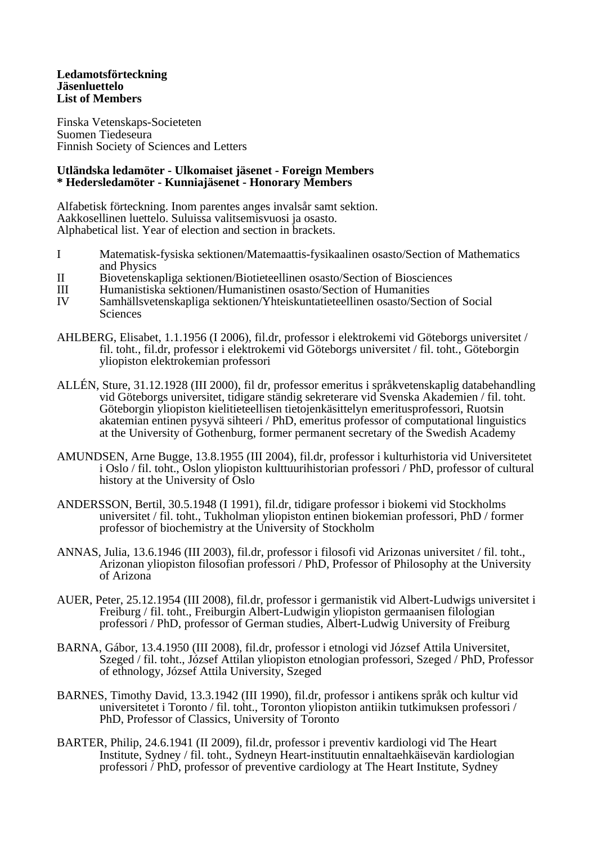## **Ledamotsförteckning Jäsenluettelo List of Members**

Finska Vetenskaps-Societeten Suomen Tiedeseura Finnish Society of Sciences and Letters

## **Utländska ledamöter - Ulkomaiset jäsenet - Foreign Members \* Hedersledamöter - Kunniajäsenet - Honorary Members**

Alfabetisk förteckning. Inom parentes anges invalsår samt sektion. Aakkosellinen luettelo. Suluissa valitsemisvuosi ja osasto. Alphabetical list. Year of election and section in brackets.

- I Matematisk-fysiska sektionen/Matemaattis-fysikaalinen osasto/Section of Mathematics and Physics
- II Biovetenskapliga sektionen/Biotieteellinen osasto/Section of Biosciences
- III Humanistiska sektionen/Humanistinen osasto/Section of Humanities
- Samhällsvetenskapliga sektionen/Yhteiskuntatieteellinen osasto/Section of Social **Sciences**
- AHLBERG, Elisabet, 1.1.1956 (I 2006), fil.dr, professor i elektrokemi vid Göteborgs universitet / fil. toht., fil.dr, professor i elektrokemi vid Göteborgs universitet / fil. toht., Göteborgin yliopiston elektrokemian professori
- ALLÉN, Sture, 31.12.1928 (III 2000), fil dr, professor emeritus i språkvetenskaplig databehandling vid Göteborgs universitet, tidigare ständig sekreterare vid Svenska Akademien / fil. toht. Göteborgin yliopiston kielitieteellisen tietojenkäsittelyn emeritusprofessori, Ruotsin akatemian entinen pysyvä sihteeri / PhD, emeritus professor of computational linguistics at the University of Gothenburg, former permanent secretary of the Swedish Academy
- AMUNDSEN, Arne Bugge, 13.8.1955 (III 2004), fil.dr, professor i kulturhistoria vid Universitetet i Oslo / fil. toht., Oslon yliopiston kulttuurihistorian professori / PhD, professor of cultural history at the University of Oslo
- ANDERSSON, Bertil, 30.5.1948 (I 1991), fil.dr, tidigare professor i biokemi vid Stockholms universitet / fil. toht., Tukholman yliopiston entinen biokemian professori, PhD / former professor of biochemistry at the University of Stockholm
- ANNAS, Julia, 13.6.1946 (III 2003), fil.dr, professor i filosofi vid Arizonas universitet / fil. toht., Arizonan yliopiston filosofian professori / PhD, Professor of Philosophy at the University of Arizona
- AUER, Peter, 25.12.1954 (III 2008), fil.dr, professor i germanistik vid Albert-Ludwigs universitet i Freiburg / fil. toht., Freiburgin Albert-Ludwigin yliopiston germaanisen filologian professori / PhD, professor of German studies, Albert-Ludwig University of Freiburg
- BARNA, Gábor, 13.4.1950 (III 2008), fil.dr, professor i etnologi vid József Attila Universitet, Szeged / fil. toht., József Attilan yliopiston etnologian professori, Szeged / PhD, Professor of ethnology, József Attila University, Szeged
- BARNES, Timothy David, 13.3.1942 (III 1990), fil.dr, professor i antikens språk och kultur vid universitetet i Toronto / fil. toht., Toronton yliopiston antiikin tutkimuksen professori / PhD, Professor of Classics, University of Toronto
- BARTER, Philip, 24.6.1941 (II 2009), fil.dr, professor i preventiv kardiologi vid The Heart Institute, Sydney / fil. toht., Sydneyn Heart-instituutin ennaltaehkäisevän kardiologian professori / PhD, professor of preventive cardiology at The Heart Institute, Sydney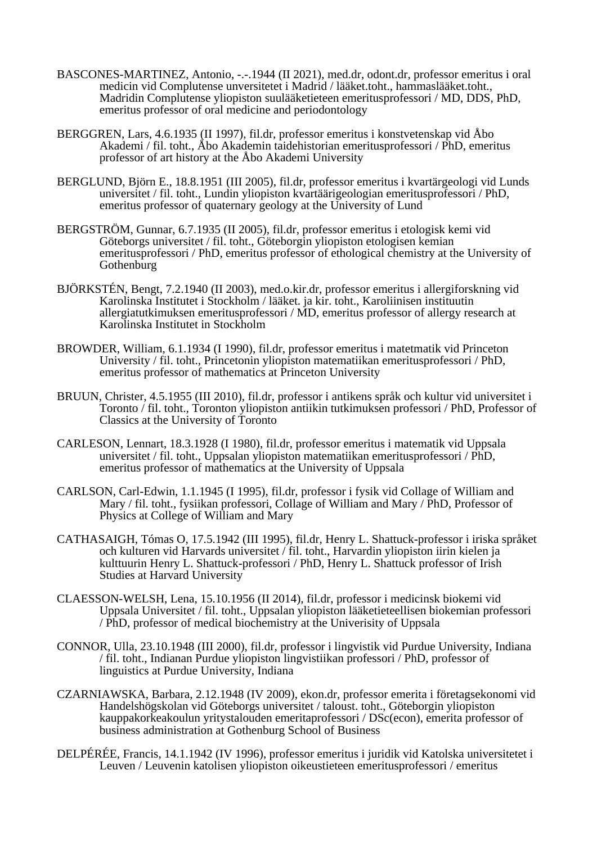- BASCONES-MARTINEZ, Antonio, -.-.1944 (II 2021), med.dr, odont.dr, professor emeritus i oral medicin vid Complutense unversitetet i Madrid / lääket.toht., hammaslääket.toht., Madridin Complutense yliopiston suulääketieteen emeritusprofessori / MD, DDS, PhD, emeritus professor of oral medicine and periodontology
- BERGGREN, Lars, 4.6.1935 (II 1997), fil.dr, professor emeritus i konstvetenskap vid Åbo Akademi / fil. toht., Åbo Akademin taidehistorian emeritusprofessori / PhD, emeritus professor of art history at the Åbo Akademi University
- BERGLUND, Björn E., 18.8.1951 (III 2005), fil.dr, professor emeritus i kvartärgeologi vid Lunds universitet / fil. toht., Lundin yliopiston kvartäärigeologian emeritusprofessori / PhD, emeritus professor of quaternary geology at the University of Lund
- BERGSTRÖM, Gunnar, 6.7.1935 (II 2005), fil.dr, professor emeritus i etologisk kemi vid Göteborgs universitet / fil. toht., Göteborgin yliopiston etologisen kemian emeritusprofessori / PhD, emeritus professor of ethological chemistry at the University of Gothenburg
- BJÖRKSTÉN, Bengt, 7.2.1940 (II 2003), med.o.kir.dr, professor emeritus i allergiforskning vid Karolinska Institutet i Stockholm / lääket. ja kir. toht., Karoliinisen instituutin allergiatutkimuksen emeritusprofessori /  $\dot{M}D$ , emeritus professor of allergy research at Karolinska Institutet in Stockholm
- BROWDER, William, 6.1.1934 (I 1990), fil.dr, professor emeritus i matetmatik vid Princeton University / fil. toht., Princetonin yliopiston matematiikan emeritusprofessori / PhD, emeritus professor of mathematics at Princeton University
- BRUUN, Christer, 4.5.1955 (III 2010), fil.dr, professor i antikens språk och kultur vid universitet i Toronto / fil. toht., Toronton yliopiston antiikin tutkimuksen professori / PhD, Professor of Classics at the University of Toronto
- CARLESON, Lennart, 18.3.1928 (I 1980), fil.dr, professor emeritus i matematik vid Uppsala universitet / fil. toht., Uppsalan yliopiston matematiikan emeritusprofessori / PhD, emeritus professor of mathematics at the University of Uppsala
- CARLSON, Carl-Edwin, 1.1.1945 (I 1995), fil.dr, professor i fysik vid Collage of William and Mary / fil. toht., fysiikan professori, Collage of William and Mary / PhD, Professor of Physics at College of William and Mary
- CATHASAIGH, Tómas O, 17.5.1942 (III 1995), fil.dr, Henry L. Shattuck-professor i iriska språket och kulturen vid Harvards universitet / fil. toht., Harvardin yliopiston iirin kielen ja kulttuurin Henry L. Shattuck-professori / PhD, Henry L. Shattuck professor of Irish Studies at Harvard University
- CLAESSON-WELSH, Lena, 15.10.1956 (II 2014), fil.dr, professor i medicinsk biokemi vid Uppsala Universitet / fil. toht., Uppsalan yliopiston lääketieteellisen biokemian professori / PhD, professor of medical biochemistry at the Univerisity of Uppsala
- CONNOR, Ulla, 23.10.1948 (III 2000), fil.dr, professor i lingvistik vid Purdue University, Indiana / fil. toht., Indianan Purdue yliopiston lingvistiikan professori / PhD, professor of linguistics at Purdue University, Indiana
- CZARNIAWSKA, Barbara, 2.12.1948 (IV 2009), ekon.dr, professor emerita i företagsekonomi vid Handelshögskolan vid Göteborgs universitet / taloust. toht., Göteborgin yliopiston kauppakorkeakoulun yritystalouden emeritaprofessori / DSc(econ), emerita professor of business administration at Gothenburg School of Business
- DELPÉRÉE, Francis, 14.1.1942 (IV 1996), professor emeritus i juridik vid Katolska universitetet i Leuven / Leuvenin katolisen yliopiston oikeustieteen emeritusprofessori / emeritus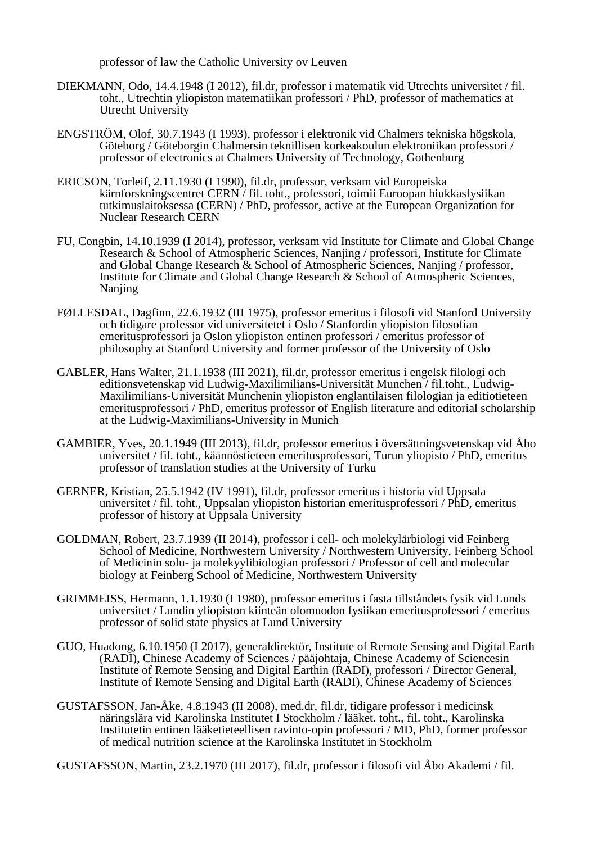professor of law the Catholic University ov Leuven

- DIEKMANN, Odo, 14.4.1948 (I 2012), fil.dr, professor i matematik vid Utrechts universitet / fil. toht., Utrechtin yliopiston matematiikan professori / PhD, professor of mathematics at Utrecht University
- ENGSTRÖM, Olof, 30.7.1943 (I 1993), professor i elektronik vid Chalmers tekniska högskola, Göteborg / Göteborgin Chalmersin teknillisen korkeakoulun elektroniikan professori / professor of electronics at Chalmers University of Technology, Gothenburg
- ERICSON, Torleif, 2.11.1930 (I 1990), fil.dr, professor, verksam vid Europeiska kärnforskningscentret CERN / fil. toht., professori, toimii Euroopan hiukkasfysiikan tutkimuslaitoksessa (CERN) / PhD, professor, active at the European Organization for Nuclear Research CERN
- FU, Congbin, 14.10.1939 (I 2014), professor, verksam vid Institute for Climate and Global Change Research & School of Atmospheric Sciences, Nanjing / professori, Institute for Climate and Global Change Research & School of Atmospheric Sciences, Nanjing / professor, Institute for Climate and Global Change Research & School of Atmospheric Sciences, Nanjing
- FØLLESDAL, Dagfinn, 22.6.1932 (III 1975), professor emeritus i filosofi vid Stanford University och tidigare professor vid universitetet i Oslo / Stanfordin yliopiston filosofian emeritusprofessori ja Oslon yliopiston entinen professori / emeritus professor of philosophy at Stanford University and former professor of the University of Oslo
- GABLER, Hans Walter, 21.1.1938 (III 2021), fil.dr, professor emeritus i engelsk filologi och editionsvetenskap vid Ludwig-Maxilimilians-Universität Munchen / fil.toht., Ludwig-Maxilimilians-Universität Munchenin yliopiston englantilaisen filologian ja editiotieteen emeritusprofessori / PhD, emeritus professor of English literature and editorial scholarship at the Ludwig-Maximilians-University in Munich
- GAMBIER, Yves, 20.1.1949 (III 2013), fil.dr, professor emeritus i översättningsvetenskap vid Åbo universitet / fil. toht., käännöstieteen emeritusprofessori, Turun yliopisto / PhD, emeritus professor of translation studies at the University of Turku
- GERNER, Kristian, 25.5.1942 (IV 1991), fil.dr, professor emeritus i historia vid Uppsala universitet / fil. toht., Uppsalan yliopiston historian emeritusprofessori / PhD, emeritus professor of history at Uppsala University
- GOLDMAN, Robert, 23.7.1939 (II 2014), professor i cell- och molekylärbiologi vid Feinberg School of Medicine, Northwestern University / Northwestern University, Feinberg School of Medicinin solu- ja molekyylibiologian professori / Professor of cell and molecular biology at Feinberg School of Medicine, Northwestern University
- GRIMMEISS, Hermann, 1.1.1930 (I 1980), professor emeritus i fasta tillståndets fysik vid Lunds universitet / Lundin yliopiston kiinteän olomuodon fysiikan emeritusprofessori / emeritus professor of solid state physics at Lund University
- GUO, Huadong, 6.10.1950 (I 2017), generaldirektör, Institute of Remote Sensing and Digital Earth (RADI), Chinese Academy of Sciences / pääjohtaja, Chinese Academy of Sciencesin Institute of Remote Sensing and Digital Earthin (RADI), professori / Director General, Institute of Remote Sensing and Digital Earth (RADI), Chinese Academy of Sciences
- GUSTAFSSON, Jan-Åke, 4.8.1943 (II 2008), med.dr, fil.dr, tidigare professor i medicinsk näringslära vid Karolinska Institutet I Stockholm / lääket. toht., fil. toht., Karolinska Institutetin entinen lääketieteellisen ravinto-opin professori / MD, PhD, former professor of medical nutrition science at the Karolinska Institutet in Stockholm

GUSTAFSSON, Martin, 23.2.1970 (III 2017), fil.dr, professor i filosofi vid Åbo Akademi / fil.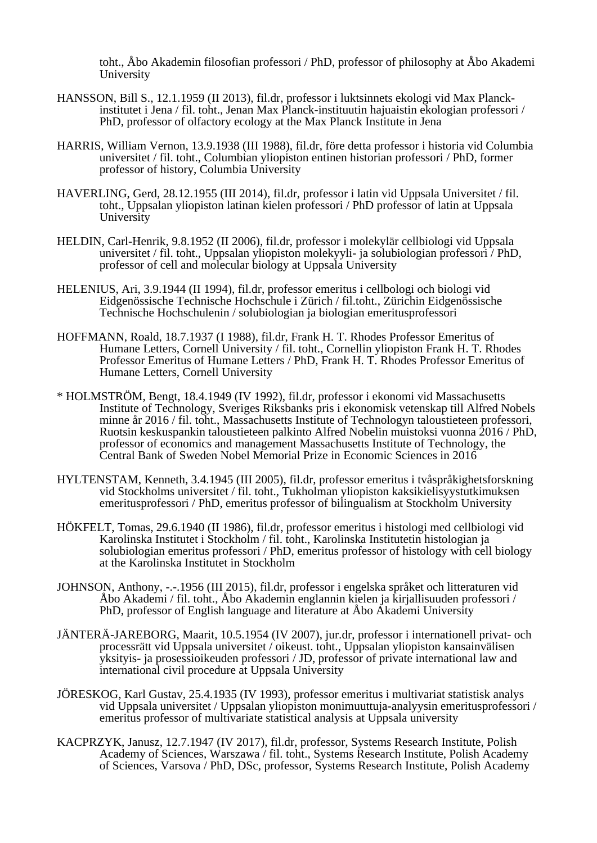toht., Åbo Akademin filosofian professori / PhD, professor of philosophy at Åbo Akademi University

- HANSSON, Bill S., 12.1.1959 (II 2013), fil.dr, professor i luktsinnets ekologi vid Max Planckinstitutet i Jena / fil. toht., Jenan Max Planck-instituutin hajuaistin ekologian professori / PhD, professor of olfactory ecology at the Max Planck Institute in Jena
- HARRIS, William Vernon, 13.9.1938 (III 1988), fil.dr, före detta professor i historia vid Columbia universitet / fil. toht., Columbian yliopiston entinen historian professori / PhD, former professor of history, Columbia University
- HAVERLING, Gerd, 28.12.1955 (III 2014), fil.dr, professor i latin vid Uppsala Universitet / fil. toht., Uppsalan yliopiston latinan kielen professori / PhD professor of latin at Uppsala **University**
- HELDIN, Carl-Henrik, 9.8.1952 (II 2006), fil.dr, professor i molekylär cellbiologi vid Uppsala universitet / fil. toht., Uppsalan yliopiston molekyyli- ja solubiologian professori / PhD, professor of cell and molecular biology at Uppsala University
- HELENIUS, Ari, 3.9.1944 (II 1994), fil.dr, professor emeritus i cellbologi och biologi vid Eidgenössische Technische Hochschule i Zürich / fil.toht., Zürichin Eidgenössische Technische Hochschulenin / solubiologian ja biologian emeritusprofessori
- HOFFMANN, Roald, 18.7.1937 (I 1988), fil.dr, Frank H. T. Rhodes Professor Emeritus of Humane Letters, Cornell University / fil. toht., Cornellin yliopiston Frank H. T. Rhodes Professor Emeritus of Humane Letters / PhD, Frank H. T. Rhodes Professor Emeritus of Humane Letters, Cornell University
- \* HOLMSTRÖM, Bengt, 18.4.1949 (IV 1992), fil.dr, professor i ekonomi vid Massachusetts Institute of Technology, Sveriges Riksbanks pris i ekonomisk vetenskap till Alfred Nobels minne år 2016 / fil. toht., Massachusetts Institute of Technologyn taloustieteen professori, Ruotsin keskuspankin taloustieteen palkinto Alfred Nobelin muistoksi vuonna 2016 / PhD, professor of economics and management Massachusetts Institute of Technology, the Central Bank of Sweden Nobel Memorial Prize in Economic Sciences in 2016
- HYLTENSTAM, Kenneth, 3.4.1945 (III 2005), fil.dr, professor emeritus i tvåspråkighetsforskning vid Stockholms universitet / fil. toht., Tukholman yliopiston kaksikielisyystutkimuksen emeritusprofessori / PhD, emeritus professor of bilingualism at Stockholm University
- HÖKFELT, Tomas, 29.6.1940 (II 1986), fil.dr, professor emeritus i histologi med cellbiologi vid Karolinska Institutet i Stockholm / fil. toht., Karolinska Institutetin histologian ja solubiologian emeritus professori / PhD, emeritus professor of histology with cell biology at the Karolinska Institutet in Stockholm
- JOHNSON, Anthony, -.-.1956 (III 2015), fil.dr, professor i engelska språket och litteraturen vid Åbo Akademi / fil. toht., Åbo Akademin englannin kielen ja kirjallisuuden professori / PhD, professor of English language and literature at Åbo Akademi University
- JÄNTERÄ-JAREBORG, Maarit, 10.5.1954 (IV 2007), jur.dr, professor i internationell privat- och processrätt vid Uppsala universitet / oikeust. toht., Uppsalan yliopiston kansainvälisen yksityis- ja prosessioikeuden professori / JD, professor of private international law and international civil procedure at Uppsala University
- JÖRESKOG, Karl Gustav, 25.4.1935 (IV 1993), professor emeritus i multivariat statistisk analys vid Uppsala universitet / Uppsalan yliopiston monimuuttuja-analyysin emeritusprofessori / emeritus professor of multivariate statistical analysis at Uppsala university
- KACPRZYK, Janusz, 12.7.1947 (IV 2017), fil.dr, professor, Systems Research Institute, Polish Academy of Sciences, Warszawa / fil. toht., Systems Research Institute, Polish Academy of Sciences, Varsova / PhD, DSc, professor, Systems Research Institute, Polish Academy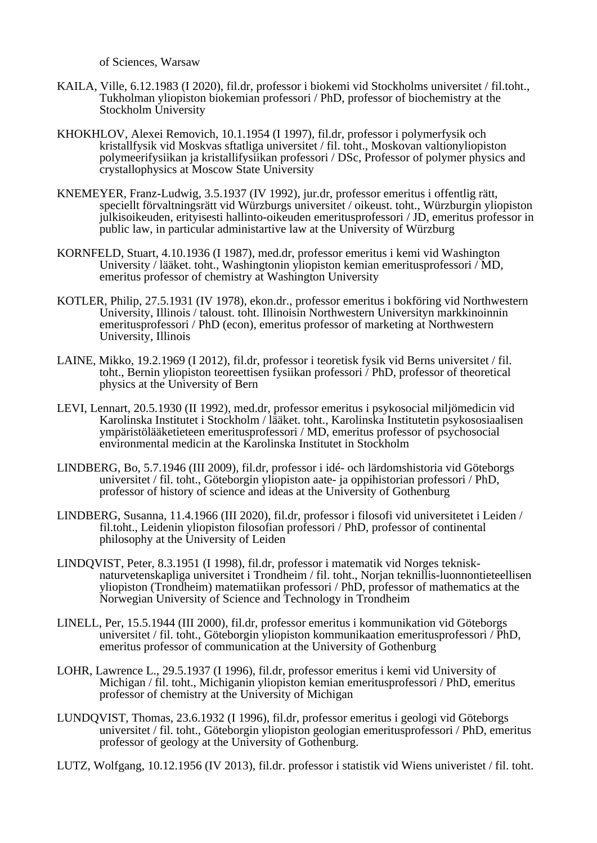of Sciences, Warsaw

- KAILA, Ville, 6.12.1983 (I 2020), fil.dr, professor i biokemi vid Stockholms universitet / fil.toht., Tukholman yliopiston biokemian professori / PhD, professor of biochemistry at the Stockholm University
- KHOKHLOV, Alexei Removich, 10.1.1954 (I 1997), fil.dr, professor i polymerfysik och kristallfysik vid Moskvas sftatliga universitet / fil. toht., Moskovan valtionyliopiston polymeerifysiikan ja kristallifysiikan professori / DSc, Professor of polymer physics and crystallophysics at Moscow State University
- KNEMEYER, Franz-Ludwig, 3.5.1937 (IV 1992), jur.dr, professor emeritus i offentlig rätt, speciellt förvaltningsrätt vid Würzburgs universitet / oikeust. toht., Würzburgin yliopiston julkisoikeuden, erityisesti hallinto-oikeuden emeritusprofessori / JD, emeritus professor in public law, in particular administartive law at the University of Würzburg
- KORNFELD, Stuart, 4.10.1936 (I 1987), med.dr, professor emeritus i kemi vid Washington University / lääket. toht., Washingtonin yliopiston kemian emeritusprofessori / MD, emeritus professor of chemistry at Washington University
- KOTLER, Philip, 27.5.1931 (IV 1978), ekon.dr., professor emeritus i bokföring vid Northwestern University, Illinois / taloust. toht. Illinoisin Northwestern Universityn markkinoinnin emeritusprofessori / PhD (econ), emeritus professor of marketing at Northwestern University, Illinois
- LAINE, Mikko, 19.2.1969 (I 2012), fil.dr, professor i teoretisk fysik vid Berns universitet / fil. toht., Bernin yliopiston teoreettisen fysiikan professori / PhD, professor of theoretical physics at the University of Bern
- LEVI, Lennart, 20.5.1930 (II 1992), med.dr, professor emeritus i psykosocial miljömedicin vid Karolinska Institutet i Stockholm / lääket. toht., Karolinska Institutetin psykososiaalisen ympäristölääketieteen emeritusprofessori / MD, emeritus professor of psychosocial environmental medicin at the Karolinska Institutet in Stockholm
- LINDBERG, Bo, 5.7.1946 (III 2009), fil.dr, professor i idé- och lärdomshistoria vid Göteborgs universitet / fil. toht., Göteborgin yliopiston aate- ja oppihistorian professori / PhD, professor of history of science and ideas at the University of Gothenburg
- LINDBERG, Susanna, 11.4.1966 (III 2020), fil.dr, professor i filosofi vid universitetet i Leiden / fil.toht., Leidenin yliopiston filosofian professori / PhD, professor of continental philosophy at the University of Leiden
- LINDQVIST, Peter, 8.3.1951 (I 1998), fil.dr, professor i matematik vid Norges teknisknaturvetenskapliga universitet i Trondheim / fil. toht., Norjan teknillis-luonnontieteellisen yliopiston (Trondheim) matematiikan professori / PhD, professor of mathematics at the Norwegian University of Science and Technology in Trondheim
- LINELL, Per, 15.5.1944 (III 2000), fil.dr, professor emeritus i kommunikation vid Göteborgs universitet / fil. toht., Göteborgin yliopiston kommunikaation emeritusprofessori / PhD, emeritus professor of communication at the University of Gothenburg
- LOHR, Lawrence L., 29.5.1937 (I 1996), fil.dr, professor emeritus i kemi vid University of Michigan / fil. toht., Michiganin yliopiston kemian emeritusprofessori / PhD, emeritus professor of chemistry at the University of Michigan
- LUNDQVIST, Thomas, 23.6.1932 (I 1996), fil.dr, professor emeritus i geologi vid Göteborgs universitet / fil. toht., Göteborgin yliopiston geologian emeritusprofessori / PhD, emeritus professor of geology at the University of Gothenburg.

LUTZ, Wolfgang, 10.12.1956 (IV 2013), fil.dr. professor i statistik vid Wiens univeristet / fil. toht.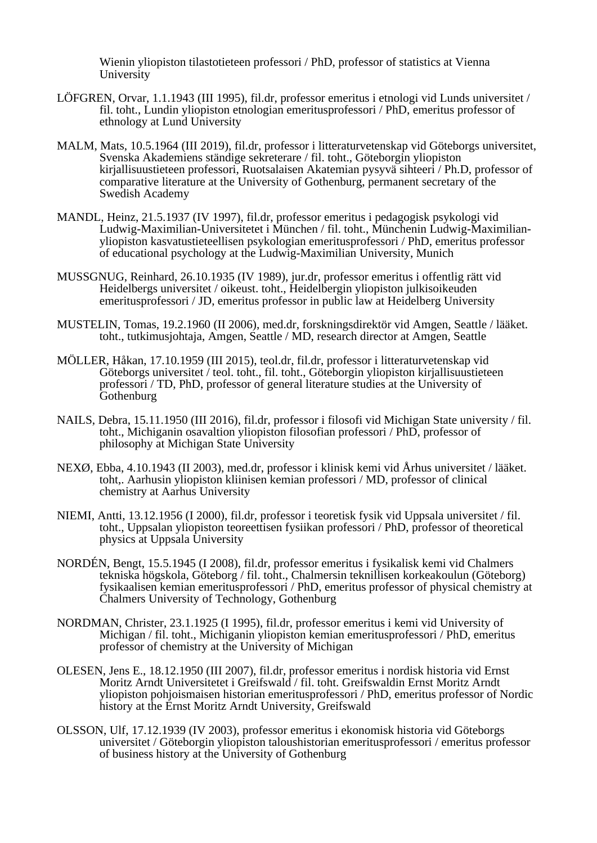Wienin yliopiston tilastotieteen professori / PhD, professor of statistics at Vienna University

- LÖFGREN, Orvar, 1.1.1943 (III 1995), fil.dr, professor emeritus i etnologi vid Lunds universitet / fil. toht., Lundin yliopiston etnologian emeritusprofessori / PhD, emeritus professor of ethnology at Lund University
- MALM, Mats, 10.5.1964 (III 2019), fil.dr, professor i litteraturvetenskap vid Göteborgs universitet, Svenska Akademiens ständige sekreterare / fil. toht., Göteborgin yliopiston kirjallisuustieteen professori, Ruotsalaisen Akatemian pysyvä sihteeri / Ph.D, professor of comparative literature at the University of Gothenburg, permanent secretary of the Swedish Academy
- MANDL, Heinz, 21.5.1937 (IV 1997), fil.dr, professor emeritus i pedagogisk psykologi vid Ludwig-Maximilian-Universitetet i München / fil. toht., Münchenin Ludwig-Maximilianyliopiston kasvatustieteellisen psykologian emeritusprofessori / PhD, emeritus professor of educational psychology at the Ludwig-Maximilian University, Munich
- MUSSGNUG, Reinhard, 26.10.1935 (IV 1989), jur.dr, professor emeritus i offentlig rätt vid Heidelbergs universitet / oikeust. toht., Heidelbergin yliopiston julkisoikeuden emeritusprofessori / JD, emeritus professor in public law at Heidelberg University
- MUSTELIN, Tomas, 19.2.1960 (II 2006), med.dr, forskningsdirektör vid Amgen, Seattle / lääket. toht., tutkimusjohtaja, Amgen, Seattle / MD, research director at Amgen, Seattle
- MÖLLER, Håkan, 17.10.1959 (III 2015), teol.dr, fil.dr, professor i litteraturvetenskap vid Göteborgs universitet / teol. toht., fil. toht., Göteborgin yliopiston kirjallisuustieteen professori / TD, PhD, professor of general literature studies at the University of Gothenburg
- NAILS, Debra, 15.11.1950 (III 2016), fil.dr, professor i filosofi vid Michigan State university / fil. toht., Michiganin osavaltion yliopiston filosofian professori / PhD, professor of philosophy at Michigan State University
- NEXØ, Ebba, 4.10.1943 (II 2003), med.dr, professor i klinisk kemi vid Århus universitet / lääket. toht,. Aarhusin yliopiston kliinisen kemian professori / MD, professor of clinical chemistry at Aarhus University
- NIEMI, Antti, 13.12.1956 (I 2000), fil.dr, professor i teoretisk fysik vid Uppsala universitet / fil. toht., Uppsalan yliopiston teoreettisen fysiikan professori / PhD, professor of theoretical physics at Uppsala University
- NORDÉN, Bengt, 15.5.1945 (I 2008), fil.dr, professor emeritus i fysikalisk kemi vid Chalmers tekniska högskola, Göteborg / fil. toht., Chalmersin teknillisen korkeakoulun (Göteborg) fysikaalisen kemian emeritusprofessori / PhD, emeritus professor of physical chemistry at Chalmers University of Technology, Gothenburg
- NORDMAN, Christer, 23.1.1925 (I 1995), fil.dr, professor emeritus i kemi vid University of Michigan / fil. toht., Michiganin yliopiston kemian emeritusprofessori / PhD, emeritus professor of chemistry at the University of Michigan
- OLESEN, Jens E., 18.12.1950 (III 2007), fil.dr, professor emeritus i nordisk historia vid Ernst Moritz Arndt Universitetet i Greifswald / fil. toht. Greifswaldin Ernst Moritz Arndt yliopiston pohjoismaisen historian emeritusprofessori / PhD, emeritus professor of Nordic history at the Ernst Moritz Arndt University, Greifswald
- OLSSON, Ulf, 17.12.1939 (IV 2003), professor emeritus i ekonomisk historia vid Göteborgs universitet / Göteborgin yliopiston taloushistorian emeritusprofessori / emeritus professor of business history at the University of Gothenburg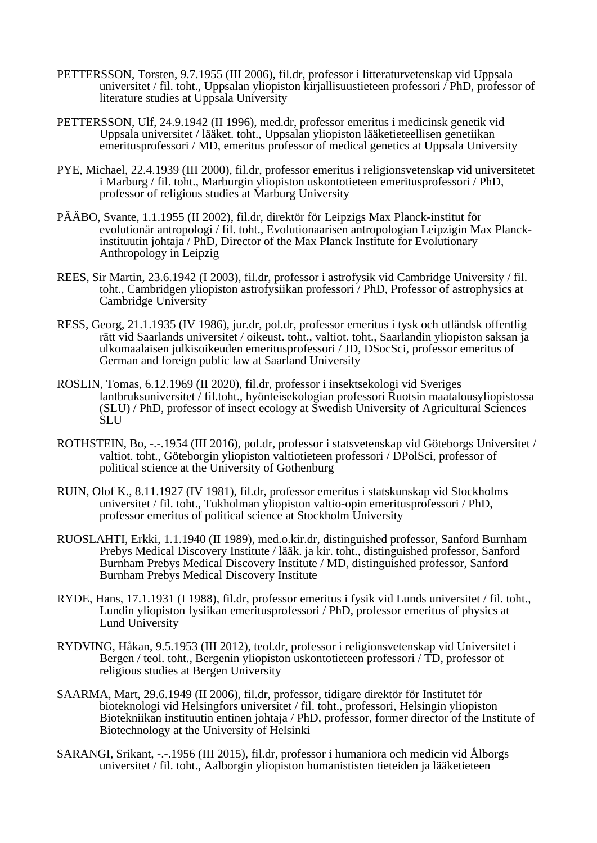- PETTERSSON, Torsten, 9.7.1955 (III 2006), fil.dr, professor i litteraturvetenskap vid Uppsala universitet / fil. toht., Uppsalan yliopiston kirjallisuustieteen professori / PhD, professor of literature studies at Uppsala University
- PETTERSSON, Ulf, 24.9.1942 (II 1996), med.dr, professor emeritus i medicinsk genetik vid Uppsala universitet / lääket. toht., Uppsalan yliopiston lääketieteellisen genetiikan emeritusprofessori / MD, emeritus professor of medical genetics at Uppsala University
- PYE, Michael, 22.4.1939 (III 2000), fil.dr, professor emeritus i religionsvetenskap vid universitetet i Marburg / fil. toht., Marburgin yliopiston uskontotieteen emeritusprofessori / PhD, professor of religious studies at Marburg University
- PÄÄBO, Svante, 1.1.1955 (II 2002), fil.dr, direktör för Leipzigs Max Planck-institut för evolutionär antropologi / fil. toht., Evolutionaarisen antropologian Leipzigin Max Planckinstituutin johtaja / PhD, Director of the Max Planck Institute for Evolutionary Anthropology in Leipzig
- REES, Sir Martin, 23.6.1942 (I 2003), fil.dr, professor i astrofysik vid Cambridge University / fil. toht., Cambridgen yliopiston astrofysiikan professori / PhD, Professor of astrophysics at Cambridge University
- RESS, Georg, 21.1.1935 (IV 1986), jur.dr, pol.dr, professor emeritus i tysk och utländsk offentlig rätt vid Saarlands universitet / oikeust. toht., valtiot. toht., Saarlandin yliopiston saksan ja ulkomaalaisen julkisoikeuden emeritusprofessori / JD, DSocSci, professor emeritus of German and foreign public law at Saarland University
- ROSLIN, Tomas, 6.12.1969 (II 2020), fil.dr, professor i insektsekologi vid Sveriges lantbruksuniversitet / fil.toht., hyönteisekologian professori Ruotsin maatalousyliopistossa (SLU) / PhD, professor of insect ecology at Swedish University of Agricultural Sciences SLU
- ROTHSTEIN, Bo, -.-.1954 (III 2016), pol.dr, professor i statsvetenskap vid Göteborgs Universitet / valtiot. toht., Göteborgin yliopiston valtiotieteen professori / DPolSci, professor of political science at the University of Gothenburg
- RUIN, Olof K., 8.11.1927 (IV 1981), fil.dr, professor emeritus i statskunskap vid Stockholms universitet / fil. toht., Tukholman yliopiston valtio-opin emeritusprofessori / PhD, professor emeritus of political science at Stockholm University
- RUOSLAHTI, Erkki, 1.1.1940 (II 1989), med.o.kir.dr, distinguished professor, Sanford Burnham Prebys Medical Discovery Institute / lääk. ja kir. toht., distinguished professor, Sanford Burnham Prebys Medical Discovery Institute / MD, distinguished professor, Sanford Burnham Prebys Medical Discovery Institute
- RYDE, Hans, 17.1.1931 (I 1988), fil.dr, professor emeritus i fysik vid Lunds universitet / fil. toht., Lundin yliopiston fysiikan emeritusprofessori / PhD, professor emeritus of physics at Lund University
- RYDVING, Håkan, 9.5.1953 (III 2012), teol.dr, professor i religionsvetenskap vid Universitet i Bergen / teol. toht., Bergenin yliopiston uskontotieteen professori / TD, professor of religious studies at Bergen University
- SAARMA, Mart, 29.6.1949 (II 2006), fil.dr, professor, tidigare direktör för Institutet för bioteknologi vid Helsingfors universitet / fil. toht., professori, Helsingin yliopiston Biotekniikan instituutin entinen johtaja / PhD, professor, former director of the Institute of Biotechnology at the University of Helsinki
- SARANGI, Srikant, -.-.1956 (III 2015), fil.dr, professor i humaniora och medicin vid Ålborgs universitet / fil. toht., Aalborgin yliopiston humanististen tieteiden ja lääketieteen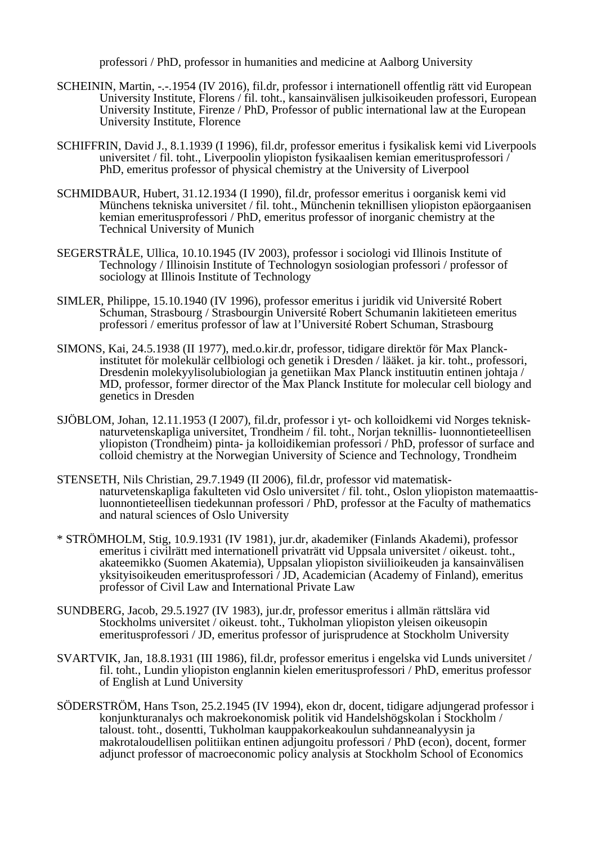professori / PhD, professor in humanities and medicine at Aalborg University

- SCHEININ, Martin, -.-.1954 (IV 2016), fil.dr, professor i internationell offentlig rätt vid European University Institute, Florens / fil. toht., kansainvälisen julkisoikeuden professori, European University Institute, Firenze / PhD, Professor of public international law at the European University Institute, Florence
- SCHIFFRIN, David J., 8.1.1939 (I 1996), fil.dr, professor emeritus i fysikalisk kemi vid Liverpools universitet / fil. toht., Liverpoolin yliopiston fysikaalisen kemian emeritusprofessori / PhD, emeritus professor of physical chemistry at the University of Liverpool
- SCHMIDBAUR, Hubert, 31.12.1934 (I 1990), fil.dr, professor emeritus i oorganisk kemi vid Münchens tekniska universitet / fil. toht., Münchenin teknillisen yliopiston epäorgaanisen kemian emeritusprofessori / PhD, emeritus professor of inorganic chemistry at the Technical University of Munich
- SEGERSTRÅLE, Ullica, 10.10.1945 (IV 2003), professor i sociologi vid Illinois Institute of Technology / Illinoisin Institute of Technologyn sosiologian professori / professor of sociology at Illinois Institute of Technology
- SIMLER, Philippe, 15.10.1940 (IV 1996), professor emeritus i juridik vid Université Robert Schuman, Strasbourg / Strasbourgin Université Robert Schumanin lakitieteen emeritus professori / emeritus professor of law at l'Université Robert Schuman, Strasbourg
- SIMONS, Kai, 24.5.1938 (II 1977), med.o.kir.dr, professor, tidigare direktör för Max Planckinstitutet för molekulär cellbiologi och genetik i Dresden / lääket. ja kir. toht., professori, Dresdenin molekyylisolubiologian ja genetiikan Max Planck instituutin entinen johtaja / MD, professor, former director of the Max Planck Institute for molecular cell biology and genetics in Dresden
- SJÖBLOM, Johan, 12.11.1953 (I 2007), fil.dr, professor i yt- och kolloidkemi vid Norges teknisknaturvetenskapliga universitet, Trondheim / fil. toht., Norjan teknillis- luonnontieteellisen yliopiston (Trondheim) pinta- ja kolloidikemian professori / PhD, professor of surface and colloid chemistry at the Norwegian University of Science and Technology, Trondheim
- STENSETH, Nils Christian, 29.7.1949 (II 2006), fil.dr, professor vid matematisknaturvetenskapliga fakulteten vid Oslo universitet / fil. toht., Oslon yliopiston matemaattisluonnontieteellisen tiedekunnan professori / PhD, professor at the Faculty of mathematics and natural sciences of Oslo University
- \* STRÖMHOLM, Stig, 10.9.1931 (IV 1981), jur.dr, akademiker (Finlands Akademi), professor emeritus i civilrätt med internationell privaträtt vid Uppsala universitet / oikeust. toht., akateemikko (Suomen Akatemia), Uppsalan yliopiston siviilioikeuden ja kansainvälisen yksityisoikeuden emeritusprofessori / JD, Academician (Academy of Finland), emeritus professor of Civil Law and International Private Law
- SUNDBERG, Jacob, 29.5.1927 (IV 1983), jur.dr, professor emeritus i allmän rättslära vid Stockholms universitet / oikeust. toht., Tukholman yliopiston yleisen oikeusopin emeritusprofessori / JD, emeritus professor of jurisprudence at Stockholm University
- SVARTVIK, Jan, 18.8.1931 (III 1986), fil.dr, professor emeritus i engelska vid Lunds universitet / fil. toht., Lundin yliopiston englannin kielen emeritusprofessori / PhD, emeritus professor of English at Lund University
- SÖDERSTRÖM, Hans Tson, 25.2.1945 (IV 1994), ekon dr, docent, tidigare adjungerad professor i konjunkturanalys och makroekonomisk politik vid Handelshögskolan i Stockholm / taloust. toht., dosentti, Tukholman kauppakorkeakoulun suhdanneanalyysin ja makrotaloudellisen politiikan entinen adjungoitu professori / PhD (econ), docent, former adjunct professor of macroeconomic policy analysis at Stockholm School of Economics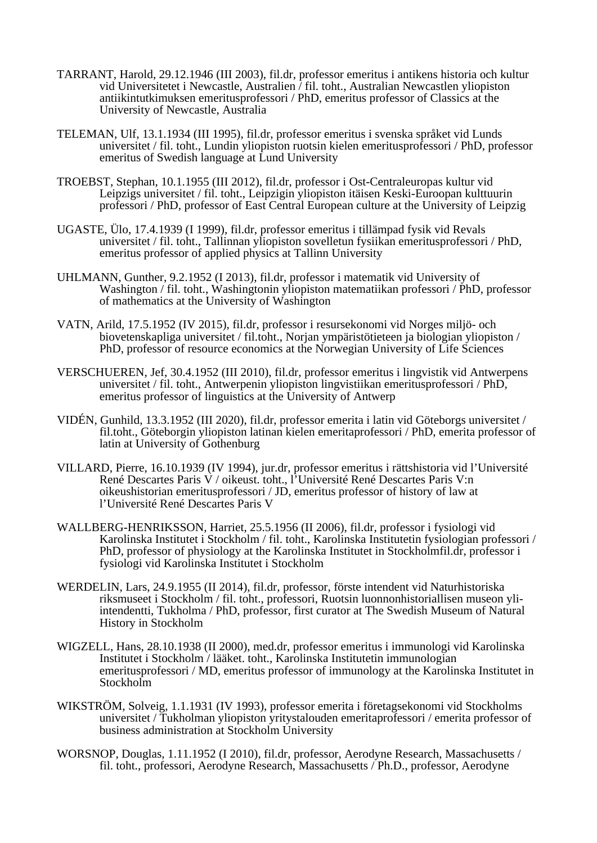- TARRANT, Harold, 29.12.1946 (III 2003), fil.dr, professor emeritus i antikens historia och kultur vid Universitetet i Newcastle, Australien / fil. toht., Australian Newcastlen yliopiston antiikintutkimuksen emeritusprofessori / PhD, emeritus professor of Classics at the University of Newcastle, Australia
- TELEMAN, Ulf, 13.1.1934 (III 1995), fil.dr, professor emeritus i svenska språket vid Lunds universitet / fil. toht., Lundin yliopiston ruotsin kielen emeritusprofessori / PhD, professor emeritus of Swedish language at Lund University
- TROEBST, Stephan, 10.1.1955 (III 2012), fil.dr, professor i Ost-Centraleuropas kultur vid Leipzigs universitet / fil. toht., Leipzigin yliopiston itäisen Keski-Euroopan kulttuurin professori / PhD, professor of East Central European culture at the University of Leipzig
- UGASTE, Ülo, 17.4.1939 (I 1999), fil.dr, professor emeritus i tillämpad fysik vid Revals universitet / fil. toht., Tallinnan yliopiston sovelletun fysiikan emeritusprofessori / PhD, emeritus professor of applied physics at Tallinn University
- UHLMANN, Gunther, 9.2.1952 (I 2013), fil.dr, professor i matematik vid University of Washington / fil. toht., Washingtonin yliopiston matematiikan professori / PhD, professor of mathematics at the University of Washington
- VATN, Arild, 17.5.1952 (IV 2015), fil.dr, professor i resursekonomi vid Norges miljö- och biovetenskapliga universitet / fil.toht., Norjan ympäristötieteen ja biologian yliopiston / PhD, professor of resource economics at the Norwegian University of Life Sciences
- VERSCHUEREN, Jef, 30.4.1952 (III 2010), fil.dr, professor emeritus i lingvistik vid Antwerpens universitet / fil. toht., Antwerpenin yliopiston lingvistiikan emeritusprofessori / PhD, emeritus professor of linguistics at the University of Antwerp
- VIDÉN, Gunhild, 13.3.1952 (III 2020), fil.dr, professor emerita i latin vid Göteborgs universitet / fil.toht., Göteborgin yliopiston latinan kielen emeritaprofessori / PhD, emerita professor of latin at University of Gothenburg
- VILLARD, Pierre, 16.10.1939 (IV 1994), jur.dr, professor emeritus i rättshistoria vid l'Université René Descartes Paris V / oikeust. toht., l'Université René Descartes Paris V:n oikeushistorian emeritusprofessori / JD, emeritus professor of history of law at l'Université René Descartes Paris V
- WALLBERG-HENRIKSSON, Harriet, 25.5.1956 (II 2006), fil.dr, professor i fysiologi vid Karolinska Institutet i Stockholm / fil. toht., Karolinska Institutetin fysiologian professori / PhD, professor of physiology at the Karolinska Institutet in Stockholmfil.dr, professor i fysiologi vid Karolinska Institutet i Stockholm
- WERDELIN, Lars, 24.9.1955 (II 2014), fil.dr, professor, förste intendent vid Naturhistoriska riksmuseet i Stockholm / fil. toht., professori, Ruotsin luonnonhistoriallisen museon yliintendentti, Tukholma / PhD, professor, first curator at The Swedish Museum of Natural History in Stockholm
- WIGZELL, Hans, 28.10.1938 (II 2000), med.dr, professor emeritus i immunologi vid Karolinska Institutet i Stockholm / lääket. toht., Karolinska Institutetin immunologian emeritusprofessori / MD, emeritus professor of immunology at the Karolinska Institutet in Stockholm
- WIKSTRÖM, Solveig, 1.1.1931 (IV 1993), professor emerita i företagsekonomi vid Stockholms universitet / Tukholman yliopiston yritystalouden emeritaprofessori / emerita professor of business administration at Stockholm University
- WORSNOP, Douglas, 1.11.1952 (I 2010), fil.dr, professor, Aerodyne Research, Massachusetts / fil. toht., professori, Aerodyne Research, Massachusetts / Ph.D., professor, Aerodyne